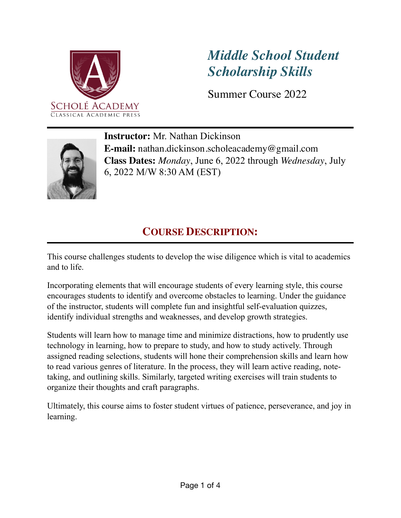

# *Middle School Student Scholarship Skills*

Summer Course 2022



**Instructor:** Mr. Nathan Dickinson **E-mail:** nathan.dickinson.scholeacademy@gmail.com **Class Dates:** *Monday*, June 6, 2022 through *Wednesday*, July 6, 2022 M/W 8:30 AM (EST)

### **COURSE DESCRIPTION:**

This course challenges students to develop the wise diligence which is vital to academics and to life.

Incorporating elements that will encourage students of every learning style, this course encourages students to identify and overcome obstacles to learning. Under the guidance of the instructor, students will complete fun and insightful self-evaluation quizzes, identify individual strengths and weaknesses, and develop growth strategies.

Students will learn how to manage time and minimize distractions, how to prudently use technology in learning, how to prepare to study, and how to study actively. Through assigned reading selections, students will hone their comprehension skills and learn how to read various genres of literature. In the process, they will learn active reading, notetaking, and outlining skills. Similarly, targeted writing exercises will train students to organize their thoughts and craft paragraphs.

Ultimately, this course aims to foster student virtues of patience, perseverance, and joy in learning.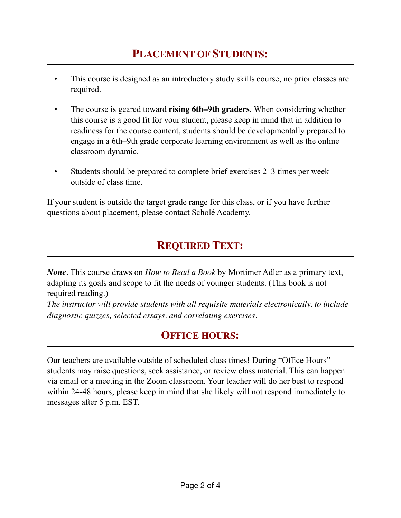- This course is designed as an introductory study skills course; no prior classes are required.
- The course is geared toward **rising 6th–9th graders**. When considering whether this course is a good fit for your student, please keep in mind that in addition to readiness for the course content, students should be developmentally prepared to engage in a 6th–9th grade corporate learning environment as well as the online classroom dynamic.
- Students should be prepared to complete brief exercises 2–3 times per week outside of class time.

If your student is outside the target grade range for this class, or if you have further questions about placement, please contact Scholé Academy.

## **REQUIRED TEXT:**

*None***.** This course draws on *How to Read a Book* by Mortimer Adler as a primary text, adapting its goals and scope to fit the needs of younger students. (This book is not required reading.)

*The instructor will provide students with all requisite materials electronically, to include diagnostic quizzes, selected essays, and correlating exercises.*

### **OFFICE HOURS:**

Our teachers are available outside of scheduled class times! During "Office Hours" students may raise questions, seek assistance, or review class material. This can happen via email or a meeting in the Zoom classroom. Your teacher will do her best to respond within 24-48 hours; please keep in mind that she likely will not respond immediately to messages after 5 p.m. EST.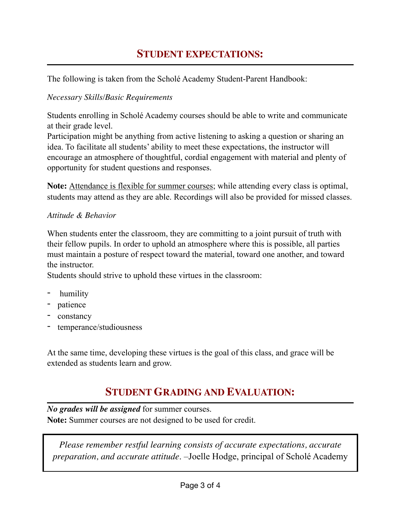### **STUDENT EXPECTATIONS:**

The following is taken from the Scholé Academy Student-Parent Handbook:

#### *Necessary Skills/Basic Requirements*

Students enrolling in Scholé Academy courses should be able to write and communicate at their grade level.

Participation might be anything from active listening to asking a question or sharing an idea. To facilitate all students' ability to meet these expectations, the instructor will encourage an atmosphere of thoughtful, cordial engagement with material and plenty of opportunity for student questions and responses.

**Note:** Attendance is flexible for summer courses; while attending every class is optimal, students may attend as they are able. Recordings will also be provided for missed classes.

#### *Attitude & Behavior*

When students enter the classroom, they are committing to a joint pursuit of truth with their fellow pupils. In order to uphold an atmosphere where this is possible, all parties must maintain a posture of respect toward the material, toward one another, and toward the instructor.

Students should strive to uphold these virtues in the classroom:

- humility
- patience
- constancy
- temperance/studiousness

At the same time, developing these virtues is the goal of this class, and grace will be extended as students learn and grow.

### **STUDENT GRADING AND EVALUATION:**

*No grades will be assigned* for summer courses. **Note:** Summer courses are not designed to be used for credit.

*Please remember restful learning consists of accurate expectations, accurate preparation, and accurate attitude*. –Joelle Hodge, principal of Scholé Academy